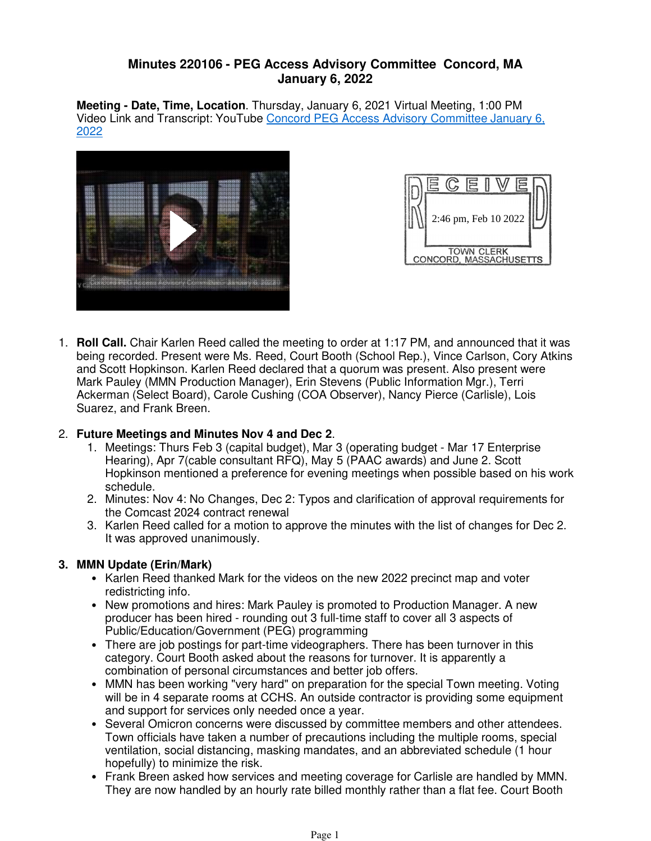## **Minutes 220106 - PEG Access Advisory Committee Concord, MA January 6, 2022**

**Meeting - Date, Time, Location**. Thursday, January 6, 2021 Virtual Meeting, 1:00 PM Video Link and Transcript: YouTube Concord PEG Access Advisory Committee January 6, 2022





**Roll Call.** Chair Karlen Reed called the meeting to order at 1:17 PM, and announced that it was 1. being recorded. Present were Ms. Reed, Court Booth (School Rep.), Vince Carlson, Cory Atkins and Scott Hopkinson. Karlen Reed declared that a quorum was present. Also present were Mark Pauley (MMN Production Manager), Erin Stevens (Public Information Mgr.), Terri Ackerman (Select Board), Carole Cushing (COA Observer), Nancy Pierce (Carlisle), Lois Suarez, and Frank Breen.

### **Future Meetings and Minutes Nov 4 and Dec 2**. 2.

- Meetings: Thurs Feb 3 (capital budget), Mar 3 (operating budget Mar 17 Enterprise 1. Hearing), Apr 7(cable consultant RFQ), May 5 (PAAC awards) and June 2. Scott Hopkinson mentioned a preference for evening meetings when possible based on his work schedule.
- Minutes: Nov 4: No Changes, Dec 2: Typos and clarification of approval requirements for 2. the Comcast 2024 contract renewal
- 3. Karlen Reed called for a motion to approve the minutes with the list of changes for Dec 2. It was approved unanimously.

# **MMN Update (Erin/Mark) 3.**

- Karlen Reed thanked Mark for the videos on the new 2022 precinct map and voter redistricting info.
- New promotions and hires: Mark Pauley is promoted to Production Manager. A new producer has been hired - rounding out 3 full-time staff to cover all 3 aspects of Public/Education/Government (PEG) programming
- There are job postings for part-time videographers. There has been turnover in this category. Court Booth asked about the reasons for turnover. It is apparently a combination of personal circumstances and better job offers.
- MMN has been working "very hard" on preparation for the special Town meeting. Voting will be in 4 separate rooms at CCHS. An outside contractor is providing some equipment and support for services only needed once a year.
- Several Omicron concerns were discussed by committee members and other attendees. Town officials have taken a number of precautions including the multiple rooms, special ventilation, social distancing, masking mandates, and an abbreviated schedule (1 hour hopefully) to minimize the risk.
- Frank Breen asked how services and meeting coverage for Carlisle are handled by MMN. They are now handled by an hourly rate billed monthly rather than a flat fee. Court Booth